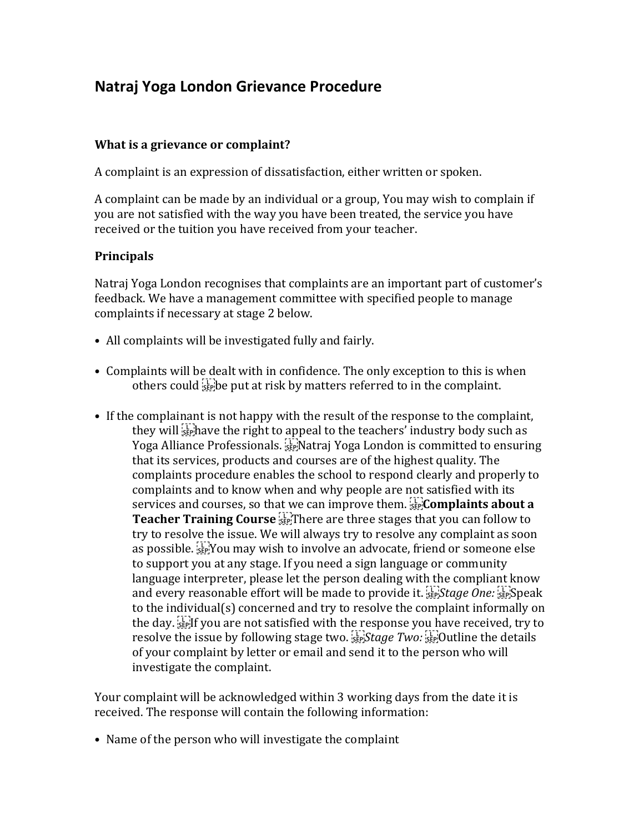## **Natraj Yoga London Grievance Procedure**

## **What is a grievance or complaint?**

A complaint is an expression of dissatisfaction, either written or spoken.

A complaint can be made by an individual or a group, You may wish to complain if you are not satisfied with the way you have been treated, the service you have received or the tuition you have received from your teacher.

## **Principals**

Natraj Yoga London recognises that complaints are an important part of customer's feedback. We have a management committee with specified people to manage complaints if necessary at stage 2 below.

- All complaints will be investigated fully and fairly.
- Complaints will be dealt with in confidence. The only exception to this is when others could  $\sum_{i=1}^{n}$  be put at risk by matters referred to in the complaint.
- If the complainant is not happy with the result of the response to the complaint, they will  $\sum_{s\in\mathbb{N}}$  have the right to appeal to the teachers' industry body such as Yoga Alliance Professionals. <sup>[17]</sup> Natraj Yoga London is committed to ensuring that its services, products and courses are of the highest quality. The complaints procedure enables the school to respond clearly and properly to complaints and to know when and why people are not satisfied with its services and courses, so that we can improve them. **Complaints about a Teacher Training Course SEP!** There are three stages that you can follow to try to resolve the issue. We will always try to resolve any complaint as soon as possible. You may wish to involve an advocate, friend or someone else to support you at any stage. If you need a sign language or community language interpreter, please let the person dealing with the compliant know and every reasonable effort will be made to provide it. **SEP**Stage One: SEPSpeak to the individual(s) concerned and try to resolve the complaint informally on the day. **EXPLAUGE 20** the day. If you are not satisfied with the response you have received, try to resolve the issue by following stage two. <sup>[17]</sup>Stage Two: <sup>[17]</sup>Outline the details of your complaint by letter or email and send it to the person who will investigate the complaint.

Your complaint will be acknowledged within 3 working days from the date it is received. The response will contain the following information:

• Name of the person who will investigate the complaint